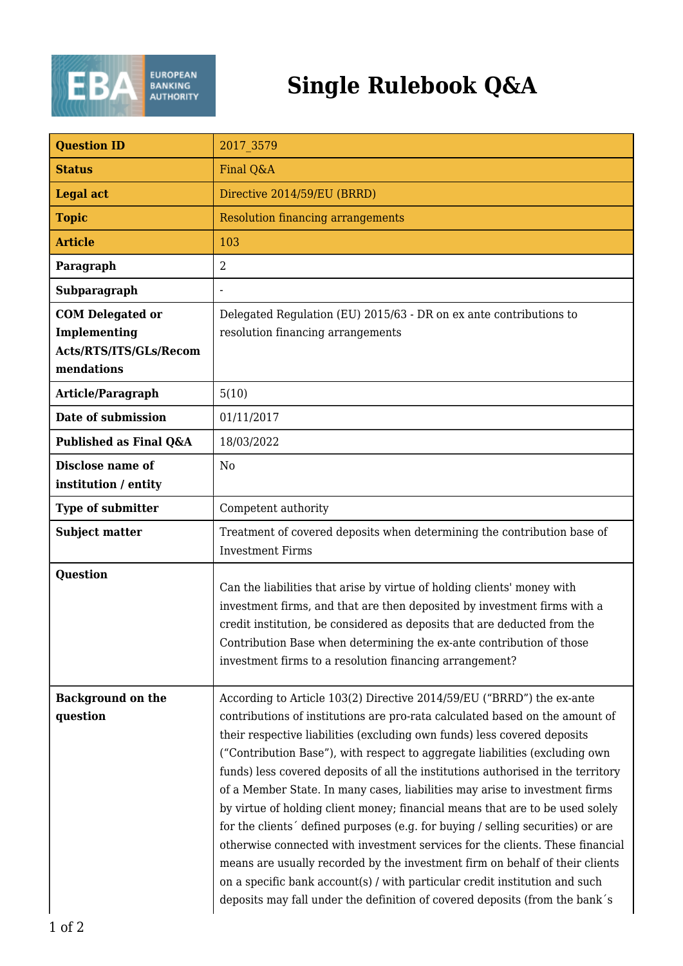

## **Single Rulebook Q&A**

| <b>Question ID</b>                                                              | 2017 3579                                                                                                                                                                                                                                                                                                                                                                                                                                                                                                                                                                                                                                                                                                                                                                                                                                                                                                                                                                              |
|---------------------------------------------------------------------------------|----------------------------------------------------------------------------------------------------------------------------------------------------------------------------------------------------------------------------------------------------------------------------------------------------------------------------------------------------------------------------------------------------------------------------------------------------------------------------------------------------------------------------------------------------------------------------------------------------------------------------------------------------------------------------------------------------------------------------------------------------------------------------------------------------------------------------------------------------------------------------------------------------------------------------------------------------------------------------------------|
| <b>Status</b>                                                                   | Final Q&A                                                                                                                                                                                                                                                                                                                                                                                                                                                                                                                                                                                                                                                                                                                                                                                                                                                                                                                                                                              |
| <b>Legal act</b>                                                                | Directive 2014/59/EU (BRRD)                                                                                                                                                                                                                                                                                                                                                                                                                                                                                                                                                                                                                                                                                                                                                                                                                                                                                                                                                            |
| <b>Topic</b>                                                                    | <b>Resolution financing arrangements</b>                                                                                                                                                                                                                                                                                                                                                                                                                                                                                                                                                                                                                                                                                                                                                                                                                                                                                                                                               |
| <b>Article</b>                                                                  | 103                                                                                                                                                                                                                                                                                                                                                                                                                                                                                                                                                                                                                                                                                                                                                                                                                                                                                                                                                                                    |
| Paragraph                                                                       | $\overline{2}$                                                                                                                                                                                                                                                                                                                                                                                                                                                                                                                                                                                                                                                                                                                                                                                                                                                                                                                                                                         |
| Subparagraph                                                                    |                                                                                                                                                                                                                                                                                                                                                                                                                                                                                                                                                                                                                                                                                                                                                                                                                                                                                                                                                                                        |
| <b>COM Delegated or</b><br>Implementing<br>Acts/RTS/ITS/GLs/Recom<br>mendations | Delegated Regulation (EU) 2015/63 - DR on ex ante contributions to<br>resolution financing arrangements                                                                                                                                                                                                                                                                                                                                                                                                                                                                                                                                                                                                                                                                                                                                                                                                                                                                                |
| Article/Paragraph                                                               | 5(10)                                                                                                                                                                                                                                                                                                                                                                                                                                                                                                                                                                                                                                                                                                                                                                                                                                                                                                                                                                                  |
| Date of submission                                                              | 01/11/2017                                                                                                                                                                                                                                                                                                                                                                                                                                                                                                                                                                                                                                                                                                                                                                                                                                                                                                                                                                             |
| Published as Final Q&A                                                          | 18/03/2022                                                                                                                                                                                                                                                                                                                                                                                                                                                                                                                                                                                                                                                                                                                                                                                                                                                                                                                                                                             |
| <b>Disclose name of</b><br>institution / entity                                 | N <sub>0</sub>                                                                                                                                                                                                                                                                                                                                                                                                                                                                                                                                                                                                                                                                                                                                                                                                                                                                                                                                                                         |
| <b>Type of submitter</b>                                                        | Competent authority                                                                                                                                                                                                                                                                                                                                                                                                                                                                                                                                                                                                                                                                                                                                                                                                                                                                                                                                                                    |
| <b>Subject matter</b>                                                           | Treatment of covered deposits when determining the contribution base of<br><b>Investment Firms</b>                                                                                                                                                                                                                                                                                                                                                                                                                                                                                                                                                                                                                                                                                                                                                                                                                                                                                     |
| <b>Question</b>                                                                 | Can the liabilities that arise by virtue of holding clients' money with<br>investment firms, and that are then deposited by investment firms with a<br>credit institution, be considered as deposits that are deducted from the<br>Contribution Base when determining the ex-ante contribution of those<br>investment firms to a resolution financing arrangement?                                                                                                                                                                                                                                                                                                                                                                                                                                                                                                                                                                                                                     |
| <b>Background on the</b><br>question                                            | According to Article 103(2) Directive 2014/59/EU ("BRRD") the ex-ante<br>contributions of institutions are pro-rata calculated based on the amount of<br>their respective liabilities (excluding own funds) less covered deposits<br>("Contribution Base"), with respect to aggregate liabilities (excluding own<br>funds) less covered deposits of all the institutions authorised in the territory<br>of a Member State. In many cases, liabilities may arise to investment firms<br>by virtue of holding client money; financial means that are to be used solely<br>for the clients' defined purposes (e.g. for buying / selling securities) or are<br>otherwise connected with investment services for the clients. These financial<br>means are usually recorded by the investment firm on behalf of their clients<br>on a specific bank account(s) / with particular credit institution and such<br>deposits may fall under the definition of covered deposits (from the bank's |